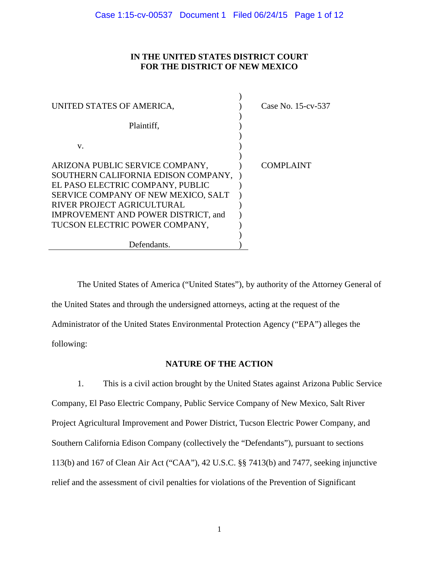# **IN THE UNITED STATES DISTRICT COURT FOR THE DISTRICT OF NEW MEXICO**

 $\lambda$ 

| UNITED STATES OF AMERICA,                                                                                                                                                                                                                                | Case No. 15-cv-537 |
|----------------------------------------------------------------------------------------------------------------------------------------------------------------------------------------------------------------------------------------------------------|--------------------|
| Plaintiff,                                                                                                                                                                                                                                               |                    |
| V.                                                                                                                                                                                                                                                       |                    |
| ARIZONA PUBLIC SERVICE COMPANY,<br>SOUTHERN CALIFORNIA EDISON COMPANY,<br>EL PASO ELECTRIC COMPANY, PUBLIC<br>SERVICE COMPANY OF NEW MEXICO, SALT<br>RIVER PROJECT AGRICULTURAL<br>IMPROVEMENT AND POWER DISTRICT, and<br>TUCSON ELECTRIC POWER COMPANY, | COMPLAINT          |
|                                                                                                                                                                                                                                                          |                    |
| Defendants.                                                                                                                                                                                                                                              |                    |

The United States of America ("United States"), by authority of the Attorney General of the United States and through the undersigned attorneys, acting at the request of the Administrator of the United States Environmental Protection Agency ("EPA") alleges the following:

# **NATURE OF THE ACTION**

1. This is a civil action brought by the United States against Arizona Public Service Company, El Paso Electric Company, Public Service Company of New Mexico, Salt River Project Agricultural Improvement and Power District, Tucson Electric Power Company, and Southern California Edison Company (collectively the "Defendants"), pursuant to sections 113(b) and 167 of Clean Air Act ("CAA"), 42 U.S.C. §§ 7413(b) and 7477, seeking injunctive relief and the assessment of civil penalties for violations of the Prevention of Significant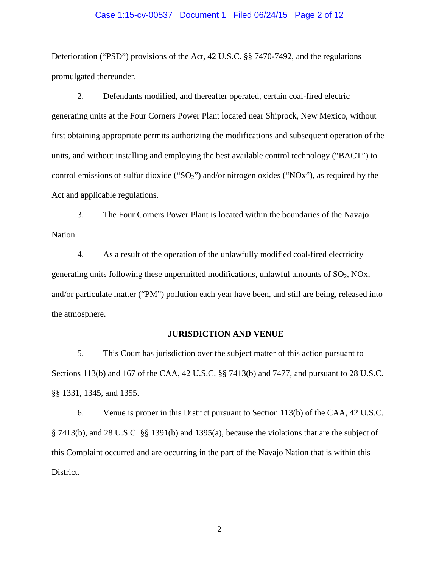#### Case 1:15-cv-00537 Document 1 Filed 06/24/15 Page 2 of 12

Deterioration ("PSD") provisions of the Act, 42 U.S.C. §§ 7470-7492, and the regulations promulgated thereunder.

2. Defendants modified, and thereafter operated, certain coal-fired electric generating units at the Four Corners Power Plant located near Shiprock, New Mexico, without first obtaining appropriate permits authorizing the modifications and subsequent operation of the units, and without installing and employing the best available control technology ("BACT") to control emissions of sulfur dioxide (" $SO_2$ ") and/or nitrogen oxides ("NOx"), as required by the Act and applicable regulations.

3. The Four Corners Power Plant is located within the boundaries of the Navajo Nation.

4. As a result of the operation of the unlawfully modified coal-fired electricity generating units following these unpermitted modifications, unlawful amounts of  $SO_2$ ,  $NOx$ , and/or particulate matter ("PM") pollution each year have been, and still are being, released into the atmosphere.

#### **JURISDICTION AND VENUE**

5. This Court has jurisdiction over the subject matter of this action pursuant to Sections 113(b) and 167 of the CAA, 42 U.S.C. §§ 7413(b) and 7477, and pursuant to 28 U.S.C. §§ 1331, 1345, and 1355.

6. Venue is proper in this District pursuant to Section 113(b) of the CAA, 42 U.S.C. § 7413(b), and 28 U.S.C. §§ 1391(b) and 1395(a), because the violations that are the subject of this Complaint occurred and are occurring in the part of the Navajo Nation that is within this District.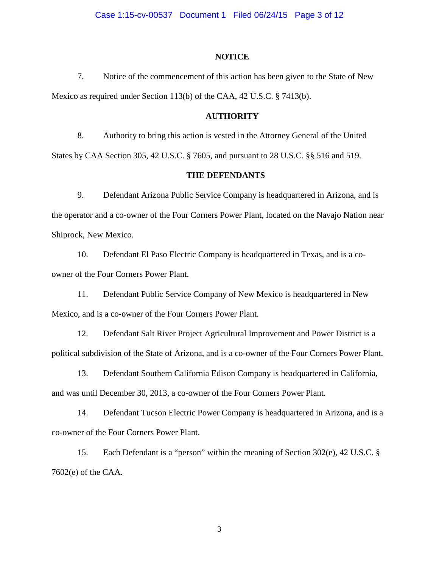#### **NOTICE**

7. Notice of the commencement of this action has been given to the State of New Mexico as required under Section 113(b) of the CAA, 42 U.S.C. § 7413(b).

### **AUTHORITY**

8. Authority to bring this action is vested in the Attorney General of the United States by CAA Section 305, 42 U.S.C. § 7605, and pursuant to 28 U.S.C. §§ 516 and 519.

#### **THE DEFENDANTS**

9. Defendant Arizona Public Service Company is headquartered in Arizona, and is the operator and a co-owner of the Four Corners Power Plant, located on the Navajo Nation near Shiprock, New Mexico.

10. Defendant El Paso Electric Company is headquartered in Texas, and is a coowner of the Four Corners Power Plant.

11. Defendant Public Service Company of New Mexico is headquartered in New Mexico, and is a co-owner of the Four Corners Power Plant.

12. Defendant Salt River Project Agricultural Improvement and Power District is a political subdivision of the State of Arizona, and is a co-owner of the Four Corners Power Plant.

13. Defendant Southern California Edison Company is headquartered in California, and was until December 30, 2013, a co-owner of the Four Corners Power Plant.

14. Defendant Tucson Electric Power Company is headquartered in Arizona, and is a co-owner of the Four Corners Power Plant.

15. Each Defendant is a "person" within the meaning of Section 302(e), 42 U.S.C. § 7602(e) of the CAA.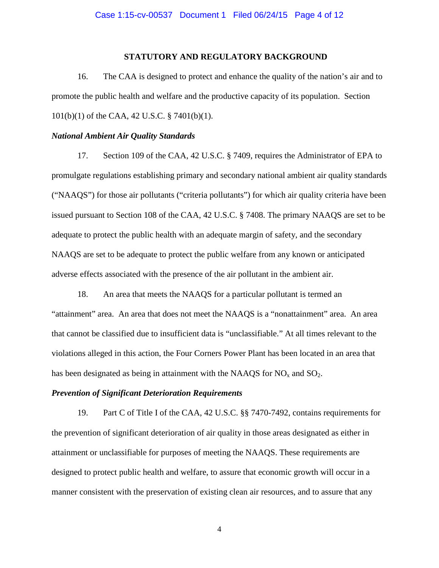## **STATUTORY AND REGULATORY BACKGROUND**

16. The CAA is designed to protect and enhance the quality of the nation's air and to promote the public health and welfare and the productive capacity of its population. Section 101(b)(1) of the CAA, 42 U.S.C. § 7401(b)(1).

#### *National Ambient Air Quality Standards*

17. Section 109 of the CAA, 42 U.S.C. § 7409, requires the Administrator of EPA to promulgate regulations establishing primary and secondary national ambient air quality standards ("NAAQS") for those air pollutants ("criteria pollutants") for which air quality criteria have been issued pursuant to Section 108 of the CAA, 42 U.S.C. § 7408. The primary NAAQS are set to be adequate to protect the public health with an adequate margin of safety, and the secondary NAAQS are set to be adequate to protect the public welfare from any known or anticipated adverse effects associated with the presence of the air pollutant in the ambient air.

18. An area that meets the NAAQS for a particular pollutant is termed an "attainment" area. An area that does not meet the NAAQS is a "nonattainment" area. An area that cannot be classified due to insufficient data is "unclassifiable." At all times relevant to the violations alleged in this action, the Four Corners Power Plant has been located in an area that has been designated as being in attainment with the NAAQS for  $NO<sub>x</sub>$  and  $SO<sub>2</sub>$ .

#### *Prevention of Significant Deterioration Requirements*

19. Part C of Title I of the CAA, 42 U.S.C. §§ 7470-7492, contains requirements for the prevention of significant deterioration of air quality in those areas designated as either in attainment or unclassifiable for purposes of meeting the NAAQS. These requirements are designed to protect public health and welfare, to assure that economic growth will occur in a manner consistent with the preservation of existing clean air resources, and to assure that any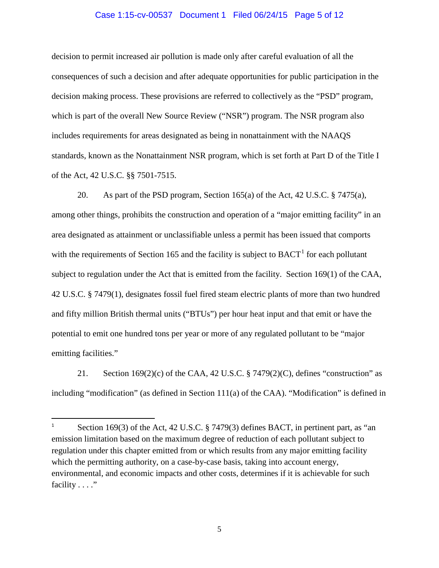#### Case 1:15-cv-00537 Document 1 Filed 06/24/15 Page 5 of 12

decision to permit increased air pollution is made only after careful evaluation of all the consequences of such a decision and after adequate opportunities for public participation in the decision making process. These provisions are referred to collectively as the "PSD" program, which is part of the overall New Source Review ("NSR") program. The NSR program also includes requirements for areas designated as being in nonattainment with the NAAQS standards, known as the Nonattainment NSR program, which is set forth at Part D of the Title I of the Act, 42 U.S.C. §§ 7501-7515.

20. As part of the PSD program, Section 165(a) of the Act, 42 U.S.C. § 7475(a), among other things, prohibits the construction and operation of a "major emitting facility" in an area designated as attainment or unclassifiable unless a permit has been issued that comports with the requirements of Section [1](#page-4-0)65 and the facility is subject to  $BACT<sup>1</sup>$  for each pollutant subject to regulation under the Act that is emitted from the facility. Section 169(1) of the CAA, 42 U.S.C. § 7479(1), designates fossil fuel fired steam electric plants of more than two hundred and fifty million British thermal units ("BTUs") per hour heat input and that emit or have the potential to emit one hundred tons per year or more of any regulated pollutant to be "major emitting facilities."

21. Section  $169(2)(c)$  of the CAA, 42 U.S.C. § 7479(2)(C), defines "construction" as including "modification" (as defined in Section 111(a) of the CAA). "Modification" is defined in

<span id="page-4-0"></span><sup>&</sup>lt;sup>1</sup> Section 169(3) of the Act, 42 U.S.C.  $\S$  7479(3) defines BACT, in pertinent part, as "an emission limitation based on the maximum degree of reduction of each pollutant subject to regulation under this chapter emitted from or which results from any major emitting facility which the permitting authority, on a case-by-case basis, taking into account energy, environmental, and economic impacts and other costs, determines if it is achievable for such facility . . . ."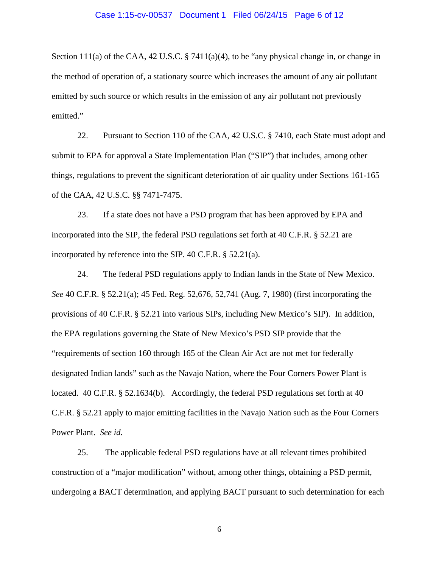#### Case 1:15-cv-00537 Document 1 Filed 06/24/15 Page 6 of 12

Section 111(a) of the CAA, 42 U.S.C. § 7411(a)(4), to be "any physical change in, or change in the method of operation of, a stationary source which increases the amount of any air pollutant emitted by such source or which results in the emission of any air pollutant not previously emitted."

22. Pursuant to Section 110 of the CAA, 42 U.S.C. § 7410, each State must adopt and submit to EPA for approval a State Implementation Plan ("SIP") that includes, among other things, regulations to prevent the significant deterioration of air quality under Sections 161-165 of the CAA, 42 U.S.C. §§ 7471-7475.

23. If a state does not have a PSD program that has been approved by EPA and incorporated into the SIP, the federal PSD regulations set forth at 40 C.F.R. § 52.21 are incorporated by reference into the SIP. 40 C.F.R. § 52.21(a).

24. The federal PSD regulations apply to Indian lands in the State of New Mexico. *See* 40 C.F.R. § 52.21(a); 45 Fed. Reg. 52,676, 52,741 (Aug. 7, 1980) (first incorporating the provisions of 40 C.F.R. § 52.21 into various SIPs, including New Mexico's SIP). In addition, the EPA regulations governing the State of New Mexico's PSD SIP provide that the "requirements of section 160 through 165 of the Clean Air Act are not met for federally designated Indian lands" such as the Navajo Nation, where the Four Corners Power Plant is located. 40 C.F.R. § 52.1634(b). Accordingly, the federal PSD regulations set forth at 40 C.F.R. § 52.21 apply to major emitting facilities in the Navajo Nation such as the Four Corners Power Plant. *See id.*

25. The applicable federal PSD regulations have at all relevant times prohibited construction of a "major modification" without, among other things, obtaining a PSD permit, undergoing a BACT determination, and applying BACT pursuant to such determination for each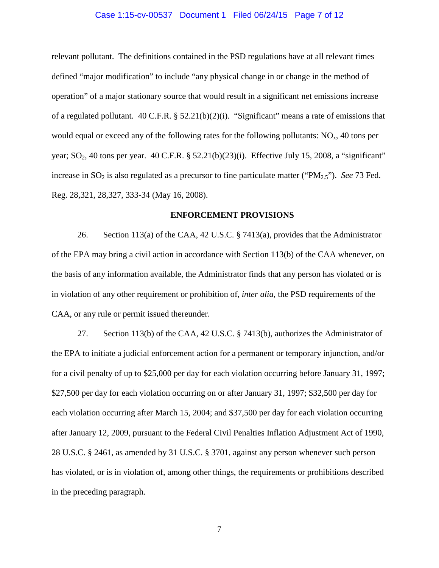#### Case 1:15-cv-00537 Document 1 Filed 06/24/15 Page 7 of 12

relevant pollutant. The definitions contained in the PSD regulations have at all relevant times defined "major modification" to include "any physical change in or change in the method of operation" of a major stationary source that would result in a significant net emissions increase of a regulated pollutant. 40 C.F.R.  $\S 52.21(b)(2)(i)$ . "Significant" means a rate of emissions that would equal or exceed any of the following rates for the following pollutants:  $NO<sub>x</sub>$ , 40 tons per year;  $SO_2$ , 40 tons per year. 40 C.F.R. § 52.21(b)(23)(i). Effective July 15, 2008, a "significant" increase in  $SO_2$  is also regulated as a precursor to fine particulate matter (" $PM_{2.5}$ "). *See* 73 Fed. Reg. 28,321, 28,327, 333-34 (May 16, 2008).

#### **ENFORCEMENT PROVISIONS**

26. Section 113(a) of the CAA, 42 U.S.C. § 7413(a), provides that the Administrator of the EPA may bring a civil action in accordance with Section 113(b) of the CAA whenever, on the basis of any information available, the Administrator finds that any person has violated or is in violation of any other requirement or prohibition of, *inter alia*, the PSD requirements of the CAA, or any rule or permit issued thereunder.

27. Section 113(b) of the CAA, 42 U.S.C. § 7413(b), authorizes the Administrator of the EPA to initiate a judicial enforcement action for a permanent or temporary injunction, and/or for a civil penalty of up to \$25,000 per day for each violation occurring before January 31, 1997; \$27,500 per day for each violation occurring on or after January 31, 1997; \$32,500 per day for each violation occurring after March 15, 2004; and \$37,500 per day for each violation occurring after January 12, 2009, pursuant to the Federal Civil Penalties Inflation Adjustment Act of 1990, 28 U.S.C. § 2461, as amended by 31 U.S.C. § 3701, against any person whenever such person has violated, or is in violation of, among other things, the requirements or prohibitions described in the preceding paragraph.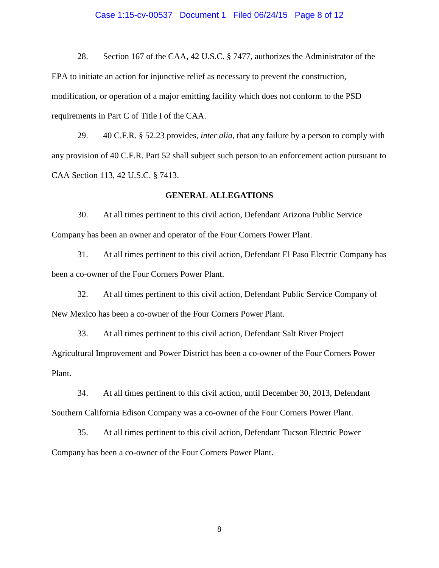#### Case 1:15-cv-00537 Document 1 Filed 06/24/15 Page 8 of 12

28. Section 167 of the CAA, 42 U.S.C. § 7477, authorizes the Administrator of the EPA to initiate an action for injunctive relief as necessary to prevent the construction, modification, or operation of a major emitting facility which does not conform to the PSD requirements in Part C of Title I of the CAA.

29. 40 C.F.R. § 52.23 provides, *inter alia*, that any failure by a person to comply with any provision of 40 C.F.R. Part 52 shall subject such person to an enforcement action pursuant to CAA Section 113, 42 U.S.C. § 7413.

#### **GENERAL ALLEGATIONS**

30. At all times pertinent to this civil action, Defendant Arizona Public Service Company has been an owner and operator of the Four Corners Power Plant.

31. At all times pertinent to this civil action, Defendant El Paso Electric Company has been a co-owner of the Four Corners Power Plant.

32. At all times pertinent to this civil action, Defendant Public Service Company of New Mexico has been a co-owner of the Four Corners Power Plant.

33. At all times pertinent to this civil action, Defendant Salt River Project Agricultural Improvement and Power District has been a co-owner of the Four Corners Power Plant.

34. At all times pertinent to this civil action, until December 30, 2013, Defendant Southern California Edison Company was a co-owner of the Four Corners Power Plant.

35. At all times pertinent to this civil action, Defendant Tucson Electric Power Company has been a co-owner of the Four Corners Power Plant.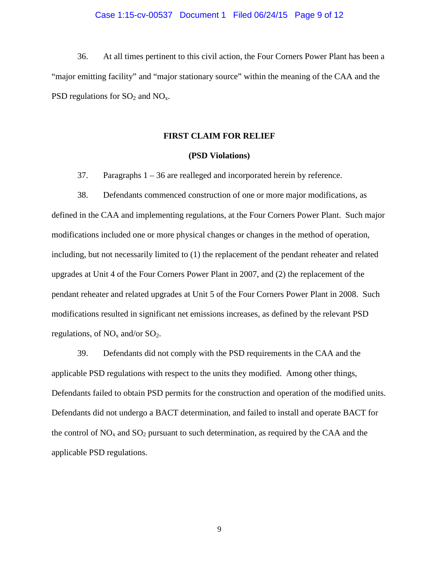#### Case 1:15-cv-00537 Document 1 Filed 06/24/15 Page 9 of 12

36. At all times pertinent to this civil action, the Four Corners Power Plant has been a "major emitting facility" and "major stationary source" within the meaning of the CAA and the PSD regulations for  $SO_2$  and  $NO<sub>x</sub>$ .

#### **FIRST CLAIM FOR RELIEF**

#### **(PSD Violations)**

37. Paragraphs 1 – 36 are realleged and incorporated herein by reference.

38. Defendants commenced construction of one or more major modifications, as defined in the CAA and implementing regulations, at the Four Corners Power Plant. Such major modifications included one or more physical changes or changes in the method of operation, including, but not necessarily limited to (1) the replacement of the pendant reheater and related upgrades at Unit 4 of the Four Corners Power Plant in 2007, and (2) the replacement of the pendant reheater and related upgrades at Unit 5 of the Four Corners Power Plant in 2008. Such modifications resulted in significant net emissions increases, as defined by the relevant PSD regulations, of  $NO<sub>x</sub>$  and/or  $SO<sub>2</sub>$ .

39. Defendants did not comply with the PSD requirements in the CAA and the applicable PSD regulations with respect to the units they modified. Among other things, Defendants failed to obtain PSD permits for the construction and operation of the modified units. Defendants did not undergo a BACT determination, and failed to install and operate BACT for the control of  $NO<sub>x</sub>$  and  $SO<sub>2</sub>$  pursuant to such determination, as required by the CAA and the applicable PSD regulations.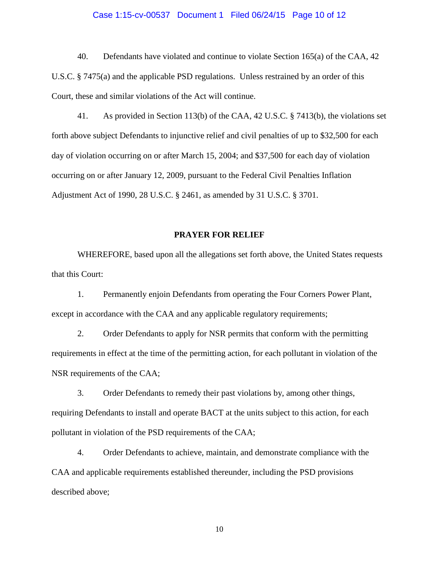#### Case 1:15-cv-00537 Document 1 Filed 06/24/15 Page 10 of 12

40. Defendants have violated and continue to violate Section 165(a) of the CAA, 42 U.S.C. § 7475(a) and the applicable PSD regulations. Unless restrained by an order of this Court, these and similar violations of the Act will continue.

41. As provided in Section 113(b) of the CAA, 42 U.S.C. § 7413(b), the violations set forth above subject Defendants to injunctive relief and civil penalties of up to \$32,500 for each day of violation occurring on or after March 15, 2004; and \$37,500 for each day of violation occurring on or after January 12, 2009, pursuant to the Federal Civil Penalties Inflation Adjustment Act of 1990, 28 U.S.C. § 2461, as amended by 31 U.S.C. § 3701.

#### **PRAYER FOR RELIEF**

WHEREFORE, based upon all the allegations set forth above, the United States requests that this Court:

1. Permanently enjoin Defendants from operating the Four Corners Power Plant, except in accordance with the CAA and any applicable regulatory requirements;

2. Order Defendants to apply for NSR permits that conform with the permitting requirements in effect at the time of the permitting action, for each pollutant in violation of the NSR requirements of the CAA;

3. Order Defendants to remedy their past violations by, among other things, requiring Defendants to install and operate BACT at the units subject to this action, for each pollutant in violation of the PSD requirements of the CAA;

4. Order Defendants to achieve, maintain, and demonstrate compliance with the CAA and applicable requirements established thereunder, including the PSD provisions described above;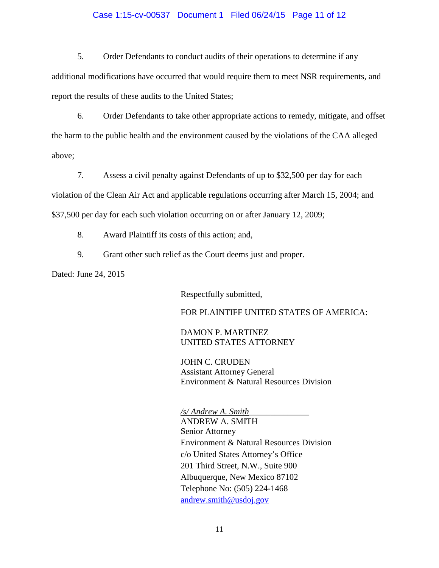#### Case 1:15-cv-00537 Document 1 Filed 06/24/15 Page 11 of 12

5. Order Defendants to conduct audits of their operations to determine if any additional modifications have occurred that would require them to meet NSR requirements, and report the results of these audits to the United States;

6. Order Defendants to take other appropriate actions to remedy, mitigate, and offset the harm to the public health and the environment caused by the violations of the CAA alleged above;

7. Assess a civil penalty against Defendants of up to \$32,500 per day for each violation of the Clean Air Act and applicable regulations occurring after March 15, 2004; and \$37,500 per day for each such violation occurring on or after January 12, 2009;

8. Award Plaintiff its costs of this action; and,

9. Grant other such relief as the Court deems just and proper.

Dated: June 24, 2015

Respectfully submitted,

FOR PLAINTIFF UNITED STATES OF AMERICA:

DAMON P. MARTINEZ UNITED STATES ATTORNEY

JOHN C. CRUDEN Assistant Attorney General Environment & Natural Resources Division

*/s/ Andrew A. Smith*\_\_\_\_\_\_\_\_\_\_\_\_\_\_

ANDREW A. SMITH Senior Attorney Environment & Natural Resources Division c/o United States Attorney's Office 201 Third Street, N.W., Suite 900 Albuquerque, New Mexico 87102 Telephone No: (505) 224-1468 [andrew.smith@usdoj.gov](mailto:andrew.smith@usdoj.gov)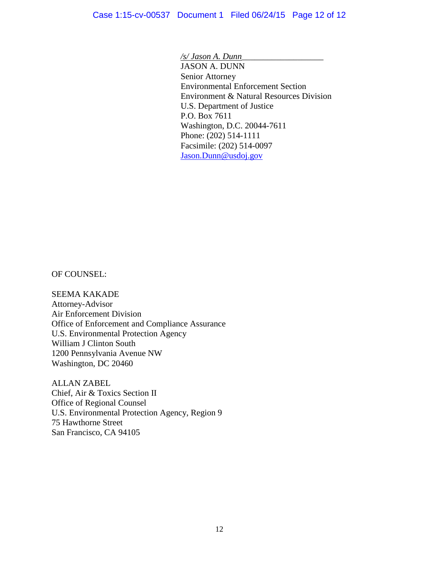# */s/ Jason A. Dunn*\_\_\_\_\_\_\_\_\_\_\_\_\_\_\_\_\_\_\_

JASON A. DUNN Senior Attorney Environmental Enforcement Section Environment & Natural Resources Division U.S. Department of Justice P.O. Box 7611 Washington, D.C. 20044-7611 Phone: (202) 514-1111 Facsimile: (202) 514-0097 [Jason.Dunn@usdoj.gov](mailto:Jason.Dunn@usdoj.gov)

OF COUNSEL:

SEEMA KAKADE Attorney-Advisor Air Enforcement Division Office of Enforcement and Compliance Assurance U.S. Environmental Protection Agency William J Clinton South 1200 Pennsylvania Avenue NW Washington, DC 20460

ALLAN ZABEL Chief, Air & Toxics Section II Office of Regional Counsel U.S. Environmental Protection Agency, Region 9 75 Hawthorne Street San Francisco, CA 94105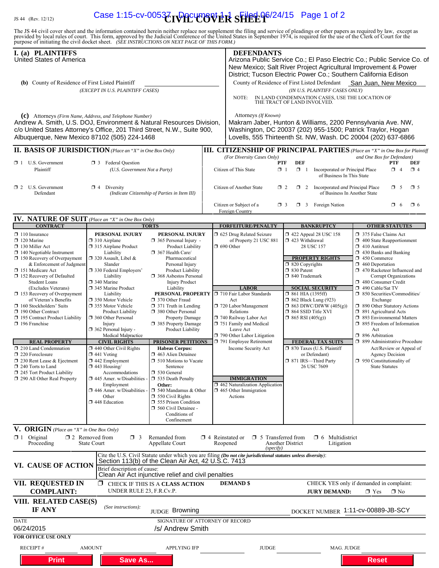# **IS 44** (Rev. 12/12) **Case 1:15-cv-0053<sup>7</sup> DOCUMER SHEE**<sup>06/24/15 Page 1 of 2</sup>

The JS 44 civil cover sheet and the information contained herein neither replace nor supplement the filing and service of pleadings or other papers as required by law, except as provided by local rules of court. This form,

| I. (a) PLAINTIFFS<br>United States of America<br>(b) County of Residence of First Listed Plaintiff<br>(EXCEPT IN U.S. PLAINTIFF CASES)                                                                                                                                                                                                                                                                                                                                                                                                                                                                                                                            |                                                                                                                                                                                                                                                                                                                                                                                                                                                                                                                                                                                                                                                 |                                                                                                                                                                                                                                                                                                                                                                                                                                                                                                                                                                                                                                                                                                                                            |                        | <b>DEFENDANTS</b><br>Arizona Public Service Co.; El Paso Electric Co.; Public Service Co. of<br>New Mexico; Salt River Project Agricultural Improvement & Power                                                                                                                                                                                                                                                             |                                                                                                                                                                                                                                                                                                                                                                                                                                                                       |                                                                                                                                                                                                                                                                                                                                                                                                                                                                                                                                                                                                                                                               |
|-------------------------------------------------------------------------------------------------------------------------------------------------------------------------------------------------------------------------------------------------------------------------------------------------------------------------------------------------------------------------------------------------------------------------------------------------------------------------------------------------------------------------------------------------------------------------------------------------------------------------------------------------------------------|-------------------------------------------------------------------------------------------------------------------------------------------------------------------------------------------------------------------------------------------------------------------------------------------------------------------------------------------------------------------------------------------------------------------------------------------------------------------------------------------------------------------------------------------------------------------------------------------------------------------------------------------------|--------------------------------------------------------------------------------------------------------------------------------------------------------------------------------------------------------------------------------------------------------------------------------------------------------------------------------------------------------------------------------------------------------------------------------------------------------------------------------------------------------------------------------------------------------------------------------------------------------------------------------------------------------------------------------------------------------------------------------------------|------------------------|-----------------------------------------------------------------------------------------------------------------------------------------------------------------------------------------------------------------------------------------------------------------------------------------------------------------------------------------------------------------------------------------------------------------------------|-----------------------------------------------------------------------------------------------------------------------------------------------------------------------------------------------------------------------------------------------------------------------------------------------------------------------------------------------------------------------------------------------------------------------------------------------------------------------|---------------------------------------------------------------------------------------------------------------------------------------------------------------------------------------------------------------------------------------------------------------------------------------------------------------------------------------------------------------------------------------------------------------------------------------------------------------------------------------------------------------------------------------------------------------------------------------------------------------------------------------------------------------|
|                                                                                                                                                                                                                                                                                                                                                                                                                                                                                                                                                                                                                                                                   |                                                                                                                                                                                                                                                                                                                                                                                                                                                                                                                                                                                                                                                 |                                                                                                                                                                                                                                                                                                                                                                                                                                                                                                                                                                                                                                                                                                                                            |                        | District; Tucson Electric Power Co.; Southern California Edison<br>County of Residence of First Listed Defendant San Juan, New Mexico<br>(IN U.S. PLAINTIFF CASES ONLY)<br>IN LAND CONDEMNATION CASES, USE THE LOCATION OF<br>NOTE:<br>THE TRACT OF LAND INVOLVED.                                                                                                                                                          |                                                                                                                                                                                                                                                                                                                                                                                                                                                                       |                                                                                                                                                                                                                                                                                                                                                                                                                                                                                                                                                                                                                                                               |
| (c) Attorneys (Firm Name, Address, and Telephone Number)<br>Andrew A. Smith, U.S. DOJ, Environment & Natural Resources Division,<br>c/o United States Attorney's Office, 201 Third Street, N.W., Suite 900,<br>Albuquerque, New Mexico 87102 (505) 224-1468                                                                                                                                                                                                                                                                                                                                                                                                       |                                                                                                                                                                                                                                                                                                                                                                                                                                                                                                                                                                                                                                                 |                                                                                                                                                                                                                                                                                                                                                                                                                                                                                                                                                                                                                                                                                                                                            |                        | Attorneys (If Known)                                                                                                                                                                                                                                                                                                                                                                                                        | Makram Jaber, Hunton & Williams, 2200 Pennsylvania Ave. NW,<br>Washington, DC 20037 (202) 955-1500; Patrick Traylor, Hogan<br>Lovells, 555 Thirteenth St. NW, Wash. DC 20004 (202) 637-6866                                                                                                                                                                                                                                                                           |                                                                                                                                                                                                                                                                                                                                                                                                                                                                                                                                                                                                                                                               |
| <b>II. BASIS OF JURISDICTION</b> (Place an "X" in One Box Only)                                                                                                                                                                                                                                                                                                                                                                                                                                                                                                                                                                                                   |                                                                                                                                                                                                                                                                                                                                                                                                                                                                                                                                                                                                                                                 |                                                                                                                                                                                                                                                                                                                                                                                                                                                                                                                                                                                                                                                                                                                                            |                        |                                                                                                                                                                                                                                                                                                                                                                                                                             |                                                                                                                                                                                                                                                                                                                                                                                                                                                                       | <b>III. CITIZENSHIP OF PRINCIPAL PARTIES</b> (Place an "X" in One Box for Plaintiff                                                                                                                                                                                                                                                                                                                                                                                                                                                                                                                                                                           |
| $\mathbf{\boxtimes}$ 1 U.S. Government<br>Plaintiff                                                                                                                                                                                                                                                                                                                                                                                                                                                                                                                                                                                                               | <b>3</b> Federal Question<br>(U.S. Government Not a Party)                                                                                                                                                                                                                                                                                                                                                                                                                                                                                                                                                                                      |                                                                                                                                                                                                                                                                                                                                                                                                                                                                                                                                                                                                                                                                                                                                            |                        | (For Diversity Cases Only)<br>Citizen of This State                                                                                                                                                                                                                                                                                                                                                                         | <b>DEF</b><br>PTF<br>$\Box$ 1<br>$\Box$ 1<br>Incorporated or Principal Place<br>of Business In This State                                                                                                                                                                                                                                                                                                                                                             | and One Box for Defendant)<br>PTF<br><b>DEF</b><br>$\Box$ 4<br>$\Box$ 4                                                                                                                                                                                                                                                                                                                                                                                                                                                                                                                                                                                       |
| $\Box$ 2 U.S. Government<br>Defendant                                                                                                                                                                                                                                                                                                                                                                                                                                                                                                                                                                                                                             | $\Box$ 4 Diversity                                                                                                                                                                                                                                                                                                                                                                                                                                                                                                                                                                                                                              | (Indicate Citizenship of Parties in Item III)                                                                                                                                                                                                                                                                                                                                                                                                                                                                                                                                                                                                                                                                                              |                        | Citizen of Another State                                                                                                                                                                                                                                                                                                                                                                                                    | $\Box$ 2<br>$\Box$ 2 Incorporated <i>and</i> Principal Place<br>of Business In Another State                                                                                                                                                                                                                                                                                                                                                                          | $\Box$ 5<br>$\Box$ 5                                                                                                                                                                                                                                                                                                                                                                                                                                                                                                                                                                                                                                          |
|                                                                                                                                                                                                                                                                                                                                                                                                                                                                                                                                                                                                                                                                   |                                                                                                                                                                                                                                                                                                                                                                                                                                                                                                                                                                                                                                                 |                                                                                                                                                                                                                                                                                                                                                                                                                                                                                                                                                                                                                                                                                                                                            |                        | Citizen or Subject of a<br>Foreign Country                                                                                                                                                                                                                                                                                                                                                                                  | $\Box$ 3 Foreign Nation<br>$\Box$ 3                                                                                                                                                                                                                                                                                                                                                                                                                                   | $\Box$ 6<br>$\Box$ 6                                                                                                                                                                                                                                                                                                                                                                                                                                                                                                                                                                                                                                          |
| <b>IV. NATURE OF SUIT</b> (Place an "X" in One Box Only)                                                                                                                                                                                                                                                                                                                                                                                                                                                                                                                                                                                                          |                                                                                                                                                                                                                                                                                                                                                                                                                                                                                                                                                                                                                                                 |                                                                                                                                                                                                                                                                                                                                                                                                                                                                                                                                                                                                                                                                                                                                            |                        |                                                                                                                                                                                                                                                                                                                                                                                                                             |                                                                                                                                                                                                                                                                                                                                                                                                                                                                       |                                                                                                                                                                                                                                                                                                                                                                                                                                                                                                                                                                                                                                                               |
| <b>CONTRACT</b><br>$\Box$ 110 Insurance<br>$\Box$ 120 Marine<br>$\Box$ 130 Miller Act<br>$\Box$ 140 Negotiable Instrument<br>150 Recovery of Overpayment<br>& Enforcement of Judgment<br>151 Medicare Act<br>152 Recovery of Defaulted<br><b>Student Loans</b><br>(Excludes Veterans)<br>153 Recovery of Overpayment<br>of Veteran's Benefits<br>$\Box$ 160 Stockholders' Suits<br>190 Other Contract<br>195 Contract Product Liability<br>$\Box$ 196 Franchise<br><b>REAL PROPERTY</b><br>210 Land Condemnation<br>$\Box$ 220 Foreclosure<br>230 Rent Lease & Ejectment<br>$\Box$ 240 Torts to Land<br>245 Tort Product Liability<br>290 All Other Real Property | PERSONAL INJURY<br>$\Box$ 310 Airplane<br>315 Airplane Product<br>Liability<br>$\Box$ 320 Assault, Libel &<br>Slander<br>□ 330 Federal Employers'<br>Liability<br>340 Marine<br>345 Marine Product<br>Liability<br>□ 350 Motor Vehicle<br>355 Motor Vehicle<br><b>Product Liability</b><br>360 Other Personal<br>Injury<br>$\Box$ 362 Personal Injury -<br>Medical Malpractice<br><b>CIVIL RIGHTS</b><br>$\Box$ 440 Other Civil Rights<br>$\Box$ 441 Voting<br>$\Box$ 442 Employment<br>$\Box$ 443 Housing/<br>Accommodations<br>$\Box$ 445 Amer. w/Disabilities -<br>Employment<br>$\Box$ 446 Amer. w/Disabilities -<br>Other<br>448 Education | <b>TORTS</b><br>PERSONAL INJURY<br>$\Box$ 365 Personal Injury -<br>Product Liability<br>367 Health Care/<br>Pharmaceutical<br>Personal Injury<br>Product Liability<br>368 Asbestos Personal<br><b>Injury Product</b><br>Liability<br>PERSONAL PROPERTY   710 Fair Labor Standards<br>370 Other Fraud<br>$\Box$ 371 Truth in Lending<br>380 Other Personal<br>Property Damage<br>385 Property Damage<br>Product Liability<br><b>PRISONER PETITIONS</b><br><b>Habeas Corpus:</b><br>1 463 Alien Detainee<br>$\Box$ 510 Motions to Vacate<br>Sentence<br>530 General<br>535 Death Penalty<br>Other:<br>$\Box$ 540 Mandamus & Other<br>$\Box$ 550 Civil Rights<br>555 Prison Condition<br>560 Civil Detainee -<br>Conditions of<br>Confinement |                        | <b>FORFEITURE/PENALTY</b><br>□ 625 Drug Related Seizure<br>of Property 21 USC 881<br>$\Box$ 690 Other<br><b>LABOR</b><br>Act<br>720 Labor/Management<br>Relations<br>740 Railway Labor Act<br>751 Family and Medical<br>Leave Act<br>790 Other Labor Litigation<br>791 Employee Retirement<br>Income Security Act<br><b>IMMIGRATION</b><br>$\Box$ 462 Naturalization Application<br>$\Box$ 465 Other Immigration<br>Actions | <b>BANKRUPTCY</b><br>$\Box$ 422 Appeal 28 USC 158<br>423 Withdrawal<br>28 USC 157<br><b>PROPERTY RIGHTS</b><br>□ 820 Copyrights<br>□ 830 Patent<br>$\Box$ 840 Trademark<br><b>SOCIAL SECURITY</b><br>$\Box$ 861 HIA (1395ff)<br><b>1</b> 862 Black Lung (923)<br>$\Box$ 863 DIWC/DIWW (405(g))<br>□ 864 SSID Title XVI<br>$\Box$ 865 RSI (405(g))<br><b>FEDERAL TAX SUITS</b><br>□ 870 Taxes (U.S. Plaintiff<br>or Defendant)<br>□ 871 IRS-Third Party<br>26 USC 7609 | <b>OTHER STATUTES</b><br>375 False Claims Act<br>$\Box$ 400 State Reapportionment<br>$\Box$ 410 Antitrust<br>$\Box$ 430 Banks and Banking<br>450 Commerce<br>$\Box$ 460 Deportation<br>1 470 Racketeer Influenced and<br>Corrupt Organizations<br>480 Consumer Credit<br>490 Cable/Sat TV<br>□ 850 Securities/Commodities/<br>Exchange<br>□ 890 Other Statutory Actions<br>$\Box$ 891 Agricultural Acts<br>893 Environmental Matters<br>$\Box$ 895 Freedom of Information<br>Act<br>$\Box$ 896 Arbitration<br>1 899 Administrative Procedure<br>Act/Review or Appeal of<br><b>Agency Decision</b><br>$\Box$ 950 Constitutionality of<br><b>State Statutes</b> |
| <b>V. ORIGIN</b> (Place an "X" in One Box Only)<br>$\boxtimes$ 1 Original<br>Proceeding                                                                                                                                                                                                                                                                                                                                                                                                                                                                                                                                                                           | $\square$ 2 Removed from<br>$\Box$ 3<br><b>State Court</b>                                                                                                                                                                                                                                                                                                                                                                                                                                                                                                                                                                                      | Remanded from<br>Appellate Court                                                                                                                                                                                                                                                                                                                                                                                                                                                                                                                                                                                                                                                                                                           | $\Box$ 4 Reinstated or | $\Box$ 5 Transferred from<br>Reopened<br>(specify)                                                                                                                                                                                                                                                                                                                                                                          | $\Box$ 6 Multidistrict<br>Another District<br>Litigation                                                                                                                                                                                                                                                                                                                                                                                                              |                                                                                                                                                                                                                                                                                                                                                                                                                                                                                                                                                                                                                                                               |
| VI. CAUSE OF ACTION                                                                                                                                                                                                                                                                                                                                                                                                                                                                                                                                                                                                                                               | Brief description of cause:                                                                                                                                                                                                                                                                                                                                                                                                                                                                                                                                                                                                                     | Section 113(b) of the Clean Air Act, 42 U.S.C. 7413<br>Clean Air Act injunctive relief and civil penalties                                                                                                                                                                                                                                                                                                                                                                                                                                                                                                                                                                                                                                 |                        | Cite the U.S. Civil Statute under which you are filing (Do not cite jurisdictional statutes unless diversity):                                                                                                                                                                                                                                                                                                              |                                                                                                                                                                                                                                                                                                                                                                                                                                                                       |                                                                                                                                                                                                                                                                                                                                                                                                                                                                                                                                                                                                                                                               |
| VII. REQUESTED IN<br><b>COMPLAINT:</b>                                                                                                                                                                                                                                                                                                                                                                                                                                                                                                                                                                                                                            | UNDER RULE 23, F.R.Cv.P.                                                                                                                                                                                                                                                                                                                                                                                                                                                                                                                                                                                                                        | <b>I</b> CHECK IF THIS IS A CLASS ACTION                                                                                                                                                                                                                                                                                                                                                                                                                                                                                                                                                                                                                                                                                                   |                        | <b>DEMAND</b> \$                                                                                                                                                                                                                                                                                                                                                                                                            | <b>JURY DEMAND:</b>                                                                                                                                                                                                                                                                                                                                                                                                                                                   | CHECK YES only if demanded in complaint:<br>$\boxtimes$ No<br>$\Box$ Yes                                                                                                                                                                                                                                                                                                                                                                                                                                                                                                                                                                                      |
| VIII. RELATED CASE(S)<br>IF ANY                                                                                                                                                                                                                                                                                                                                                                                                                                                                                                                                                                                                                                   | (See instructions):                                                                                                                                                                                                                                                                                                                                                                                                                                                                                                                                                                                                                             | JUDGE Browning                                                                                                                                                                                                                                                                                                                                                                                                                                                                                                                                                                                                                                                                                                                             |                        |                                                                                                                                                                                                                                                                                                                                                                                                                             | DOCKET NUMBER 1:11-cv-00889-JB-SCY                                                                                                                                                                                                                                                                                                                                                                                                                                    |                                                                                                                                                                                                                                                                                                                                                                                                                                                                                                                                                                                                                                                               |
| <b>DATE</b><br>06/24/2015<br><b>FOR OFFICE USE ONLY</b>                                                                                                                                                                                                                                                                                                                                                                                                                                                                                                                                                                                                           |                                                                                                                                                                                                                                                                                                                                                                                                                                                                                                                                                                                                                                                 | SIGNATURE OF ATTORNEY OF RECORD<br>/s/ Andrew Smith                                                                                                                                                                                                                                                                                                                                                                                                                                                                                                                                                                                                                                                                                        |                        |                                                                                                                                                                                                                                                                                                                                                                                                                             |                                                                                                                                                                                                                                                                                                                                                                                                                                                                       |                                                                                                                                                                                                                                                                                                                                                                                                                                                                                                                                                                                                                                                               |
| <b>RECEIPT#</b>                                                                                                                                                                                                                                                                                                                                                                                                                                                                                                                                                                                                                                                   | <b>AMOUNT</b>                                                                                                                                                                                                                                                                                                                                                                                                                                                                                                                                                                                                                                   | <b>APPLYING IFP</b>                                                                                                                                                                                                                                                                                                                                                                                                                                                                                                                                                                                                                                                                                                                        |                        | <b>JUDGE</b>                                                                                                                                                                                                                                                                                                                                                                                                                | MAG. JUDGE                                                                                                                                                                                                                                                                                                                                                                                                                                                            |                                                                                                                                                                                                                                                                                                                                                                                                                                                                                                                                                                                                                                                               |
| <b>Print</b>                                                                                                                                                                                                                                                                                                                                                                                                                                                                                                                                                                                                                                                      | <b>Save As</b>                                                                                                                                                                                                                                                                                                                                                                                                                                                                                                                                                                                                                                  |                                                                                                                                                                                                                                                                                                                                                                                                                                                                                                                                                                                                                                                                                                                                            |                        |                                                                                                                                                                                                                                                                                                                                                                                                                             |                                                                                                                                                                                                                                                                                                                                                                                                                                                                       | <b>Reset</b>                                                                                                                                                                                                                                                                                                                                                                                                                                                                                                                                                                                                                                                  |